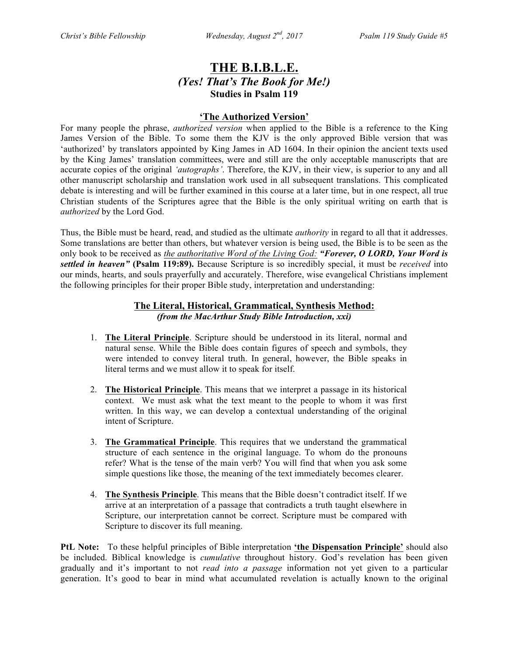# **THE B.I.B.L.E.** *(Yes! That's The Book for Me!)* **Studies in Psalm 119**

## **'The Authorized Version'**

For many people the phrase, *authorized version* when applied to the Bible is a reference to the King James Version of the Bible. To some them the KJV is the only approved Bible version that was 'authorized' by translators appointed by King James in AD 1604. In their opinion the ancient texts used by the King James' translation committees, were and still are the only acceptable manuscripts that are accurate copies of the original *'autographs'*. Therefore, the KJV, in their view, is superior to any and all other manuscript scholarship and translation work used in all subsequent translations. This complicated debate is interesting and will be further examined in this course at a later time, but in one respect, all true Christian students of the Scriptures agree that the Bible is the only spiritual writing on earth that is *authorized* by the Lord God.

Thus, the Bible must be heard, read, and studied as the ultimate *authority* in regard to all that it addresses. Some translations are better than others, but whatever version is being used, the Bible is to be seen as the only book to be received as *the authoritative Word of the Living God: "Forever, O LORD, Your Word is settled in heaven"* **(Psalm 119:89).** Because Scripture is so incredibly special, it must be *received* into our minds, hearts, and souls prayerfully and accurately. Therefore, wise evangelical Christians implement the following principles for their proper Bible study, interpretation and understanding:

# **The Literal, Historical, Grammatical, Synthesis Method:** *(from the MacArthur Study Bible Introduction, xxi)*

- 1. **The Literal Principle**. Scripture should be understood in its literal, normal and natural sense. While the Bible does contain figures of speech and symbols, they were intended to convey literal truth. In general, however, the Bible speaks in literal terms and we must allow it to speak for itself.
- 2. **The Historical Principle**. This means that we interpret a passage in its historical context. We must ask what the text meant to the people to whom it was first written. In this way, we can develop a contextual understanding of the original intent of Scripture.
- 3. **The Grammatical Principle**. This requires that we understand the grammatical structure of each sentence in the original language. To whom do the pronouns refer? What is the tense of the main verb? You will find that when you ask some simple questions like those, the meaning of the text immediately becomes clearer.
- 4. **The Synthesis Principle**. This means that the Bible doesn't contradict itself. If we arrive at an interpretation of a passage that contradicts a truth taught elsewhere in Scripture, our interpretation cannot be correct. Scripture must be compared with Scripture to discover its full meaning.

**PtL Note:** To these helpful principles of Bible interpretation **'the Dispensation Principle'** should also be included. Biblical knowledge is *cumulative* throughout history. God's revelation has been given gradually and it's important to not *read into a passage* information not yet given to a particular generation. It's good to bear in mind what accumulated revelation is actually known to the original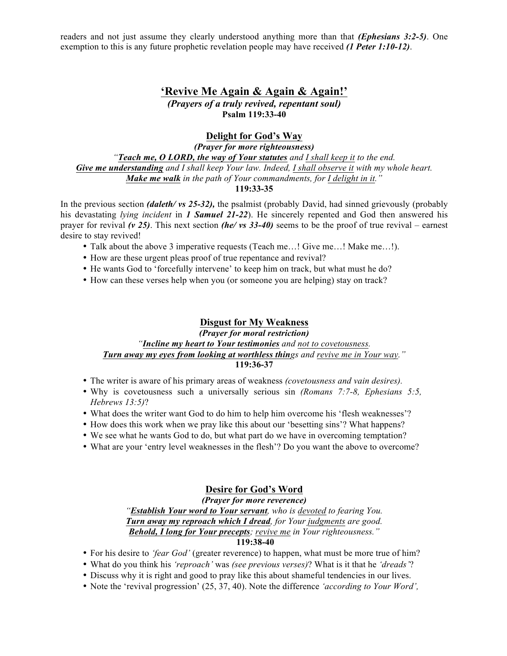readers and not just assume they clearly understood anything more than that *(Ephesians 3:2-5)*. One exemption to this is any future prophetic revelation people may have received *(1 Peter 1:10-12)*.

# **'Revive Me Again & Again & Again!'**

*(Prayers of a truly revived, repentant soul)* **Psalm 119:33-40**

### **Delight for God's Way**

*(Prayer for more righteousness) "Teach me, O LORD, the way of Your statutes and I shall keep it to the end. Give me understanding and I shall keep Your law. Indeed, I shall observe it with my whole heart. Make me walk in the path of Your commandments, for I delight in it."* **119:33-35**

In the previous section *(daleth/ vs 25-32),* the psalmist (probably David, had sinned grievously (probably his devastating *lying incident* in *1 Samuel 21-22*). He sincerely repented and God then answered his prayer for revival *(v 25)*. This next section *(he/ vs 33-40)* seems to be the proof of true revival – earnest desire to stay revived!

- Talk about the above 3 imperative requests (Teach me…! Give me…! Make me…!).
- How are these urgent pleas proof of true repentance and revival?
- He wants God to 'forcefully intervene' to keep him on track, but what must he do?
- How can these verses help when you (or someone you are helping) stay on track?

#### **Disgust for My Weakness**

#### *(Prayer for moral restriction) "Incline my heart to Your testimonies and not to covetousness. Turn away my eyes from looking at worthless things and revive me in Your way."* **119:36-37**

- The writer is aware of his primary areas of weakness *(covetousness and vain desires).*
- Why is covetousness such a universally serious sin *(Romans 7:7-8, Ephesians 5:5, Hebrews 13:5)*?
- What does the writer want God to do him to help him overcome his 'flesh weaknesses'?
- How does this work when we pray like this about our 'besetting sins'? What happens?
- We see what he wants God to do, but what part do we have in overcoming temptation?
- What are your 'entry level weaknesses in the flesh'? Do you want the above to overcome?

#### **Desire for God's Word**

#### *(Prayer for more reverence)*

*"Establish Your word to Your servant, who is devoted to fearing You. Turn away my reproach which I dread, for Your judgments are good. Behold, I long for Your precepts; revive me in Your righteousness."*

### **119:38-40**

- For his desire to *'fear God'* (greater reverence) to happen, what must be more true of him?
- What do you think his *'reproach'* was *(see previous verses)*? What is it that he *'dreads'*?
- Discuss why it is right and good to pray like this about shameful tendencies in our lives.
- Note the 'revival progression' (25, 37, 40). Note the difference *'according to Your Word',*